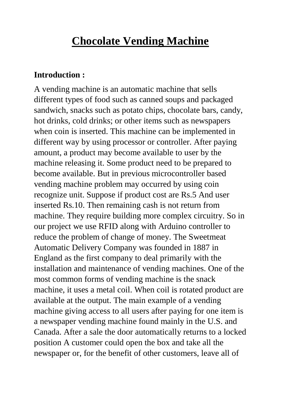## **Chocolate Vending Machine**

## **Introduction :**

A vending machine is an automatic machine that sells different types of food such as canned soups and packaged sandwich, snacks such as potato chips, chocolate bars, candy, hot drinks, cold drinks; or other items such as newspapers when coin is inserted. This machine can be implemented in different way by using processor or controller. After paying amount, a product may become available to user by the machine releasing it. Some product need to be prepared to become available. But in previous microcontroller based vending machine problem may occurred by using coin recognize unit. Suppose if product cost are Rs.5 And user inserted Rs.10. Then remaining cash is not return from machine. They require building more complex circuitry. So in our project we use RFID along with Arduino controller to reduce the problem of change of money. The Sweetmeat Automatic Delivery Company was founded in 1887 in England as the first company to deal primarily with the installation and maintenance of vending machines. One of the most common forms of vending machine is the snack machine, it uses a metal coil. When coil is rotated product are available at the output. The main example of a vending machine giving access to all users after paying for one item is a newspaper vending machine found mainly in the U.S. and Canada. After a sale the door automatically returns to a locked position A customer could open the box and take all the newspaper or, for the benefit of other customers, leave all of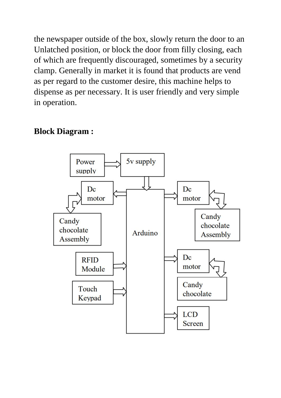the newspaper outside of the box, slowly return the door to an Unlatched position, or block the door from filly closing, each of which are frequently discouraged, sometimes by a security clamp. Generally in market it is found that products are vend as per regard to the customer desire, this machine helps to dispense as per necessary. It is user friendly and very simple in operation.

## **Block Diagram :**